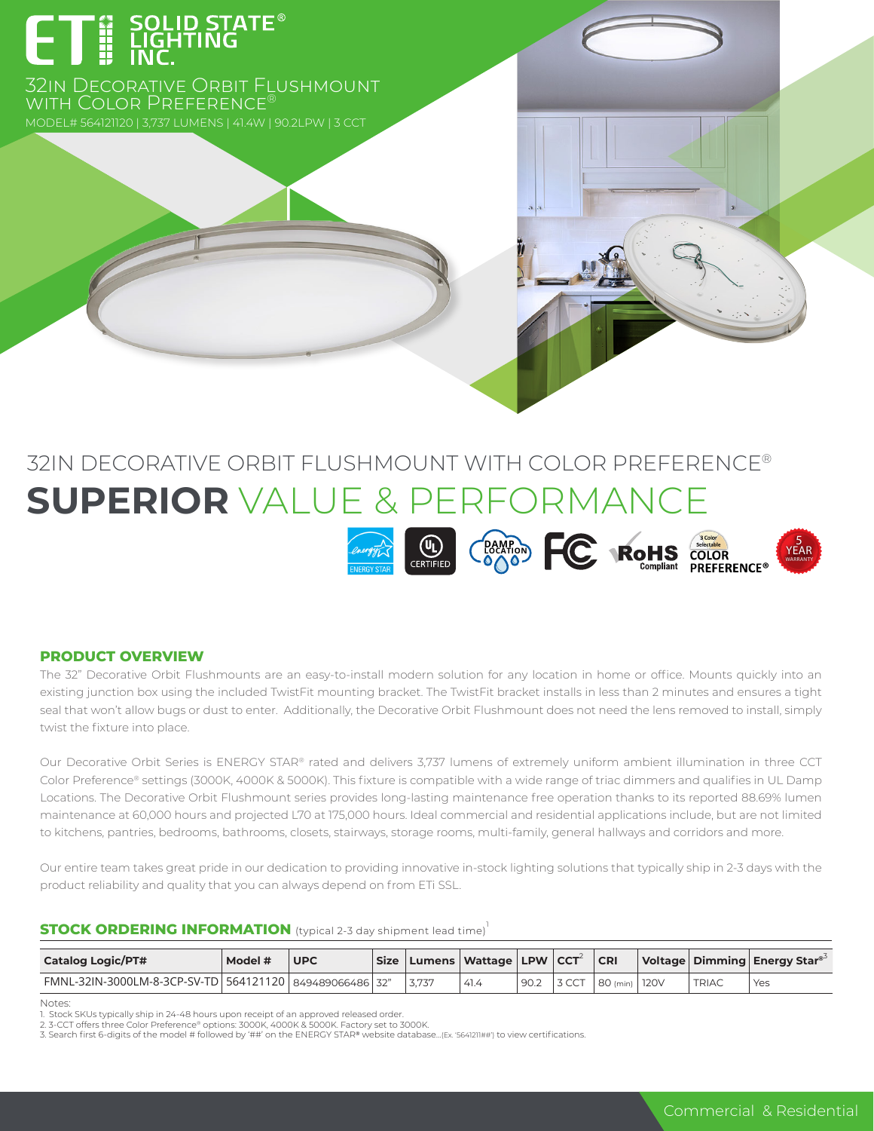# ET E SOLID STATE<sup>®</sup>

32in Decorative Orbit Flushmount WITH COLOR PREFERENCE

## 32IN DECORATIVE ORBIT FLUSHMOUNT WITH COLOR PREFERENCE® **SUPERIOR** VALUE & PERFORMANCE



#### **PRODUCT OVERVIEW**

The 32" Decorative Orbit Flushmounts are an easy-to-install modern solution for any location in home or office. Mounts quickly into an existing junction box using the included TwistFit mounting bracket. The TwistFit bracket installs in less than 2 minutes and ensures a tight seal that won't allow bugs or dust to enter. Additionally, the Decorative Orbit Flushmount does not need the lens removed to install, simply twist the fixture into place.

Our Decorative Orbit Series is ENERGY STAR® rated and delivers 3,737 lumens of extremely uniform ambient illumination in three CCT Color Preference® settings (3000K, 4000K & 5000K). This fixture is compatible with a wide range of triac dimmers and qualifies in UL Damp Locations. The Decorative Orbit Flushmount series provides long-lasting maintenance free operation thanks to its reported 88.69% lumen maintenance at 60,000 hours and projected L70 at 175,000 hours. Ideal commercial and residential applications include, but are not limited to kitchens, pantries, bedrooms, bathrooms, closets, stairways, storage rooms, multi-family, general hallways and corridors and more.

Our entire team takes great pride in our dedication to providing innovative in-stock lighting solutions that typically ship in 2-3 days with the product reliability and quality that you can always depend on from ETi SSL.

#### **STOCK ORDERING INFORMATION** (typical 2-3 day shipment lead time)<sup>1</sup>

| <b>Catalog Logic/PT#</b>                                      | Model # | UPC |       | Size   Lumens   Wattage   LPW   CCT |                   |       | <b>CRI</b>      |              | Voltage   Dimming   Energy Star <sup>®</sup> |
|---------------------------------------------------------------|---------|-----|-------|-------------------------------------|-------------------|-------|-----------------|--------------|----------------------------------------------|
| FMNL-32IN-3000LM-8-3CP-SV-TD   564121120   849489066486   32" |         |     | 3.737 | 41.4                                | $90.2 \quad \Box$ | 3 CCT | 80 (min)   120V | <b>TRIAC</b> | Yes                                          |

Notes:

1. Stock SKUs typically ship in 24-48 hours upon receipt of an approved released order.

2. 3-CCT offers three Color Preference® options: 3000K, 4000K & 5000K. Factory set to 3000K.<br>3. Search first 6-digits of the model # followed by '##' on the ENERGY STAR® website database…[Ex: '5641211##') to view certifica